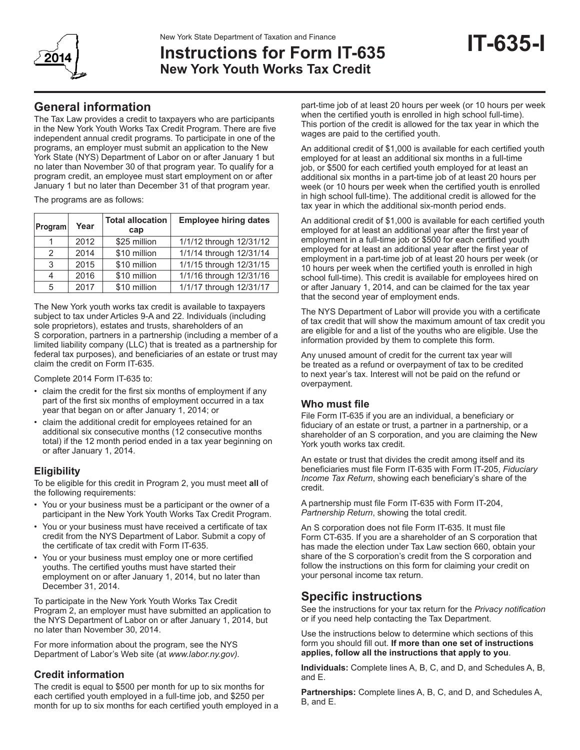

# New York State Department of Taxation and Finance<br>**Instructions for Form IT-635 IT-635 New York Youth Works Tax Credit**

# **General information**

The Tax Law provides a credit to taxpayers who are participants in the New York Youth Works Tax Credit Program. There are five independent annual credit programs. To participate in one of the programs, an employer must submit an application to the New York State (NYS) Department of Labor on or after January 1 but no later than November 30 of that program year. To qualify for a program credit, an employee must start employment on or after January 1 but no later than December 31 of that program year.

The programs are as follows:

| Program | Year | <b>Total allocation</b><br>cap | <b>Employee hiring dates</b> |
|---------|------|--------------------------------|------------------------------|
|         | 2012 | \$25 million                   | 1/1/12 through 12/31/12      |
| 2       | 2014 | \$10 million                   | 1/1/14 through 12/31/14      |
| 3       | 2015 | \$10 million                   | 1/1/15 through 12/31/15      |
| 4       | 2016 | \$10 million                   | 1/1/16 through 12/31/16      |
| 5       | 2017 | \$10 million                   | 1/1/17 through 12/31/17      |

The New York youth works tax credit is available to taxpayers subject to tax under Articles 9-A and 22. Individuals (including sole proprietors), estates and trusts, shareholders of an S corporation, partners in a partnership (including a member of a limited liability company (LLC) that is treated as a partnership for federal tax purposes), and beneficiaries of an estate or trust may claim the credit on Form IT-635.

Complete 2014 Form IT-635 to:

- claim the credit for the first six months of employment if any part of the first six months of employment occurred in a tax year that began on or after January 1, 2014; or
- claim the additional credit for employees retained for an additional six consecutive months (12 consecutive months total) if the 12 month period ended in a tax year beginning on or after January 1, 2014.

#### **Eligibility**

To be eligible for this credit in Program 2, you must meet **all** of the following requirements:

- You or your business must be a participant or the owner of a participant in the New York Youth Works Tax Credit Program.
- You or your business must have received a certificate of tax credit from the NYS Department of Labor. Submit a copy of the certificate of tax credit with Form IT-635.
- You or your business must employ one or more certified youths. The certified youths must have started their employment on or after January 1, 2014, but no later than December 31, 2014.

To participate in the New York Youth Works Tax Credit Program 2, an employer must have submitted an application to the NYS Department of Labor on or after January 1, 2014, but no later than November 30, 2014.

For more information about the program, see the NYS Department of Labor's Web site (at *www.labor.ny.gov).*

## **Credit information**

The credit is equal to \$500 per month for up to six months for each certified youth employed in a full-time job, and \$250 per month for up to six months for each certified youth employed in a

part-time job of at least 20 hours per week (or 10 hours per week when the certified youth is enrolled in high school full-time). This portion of the credit is allowed for the tax year in which the wages are paid to the certified youth.

An additional credit of \$1,000 is available for each certified youth employed for at least an additional six months in a full-time job, or \$500 for each certified youth employed for at least an additional six months in a part-time job of at least 20 hours per week (or 10 hours per week when the certified youth is enrolled in high school full-time). The additional credit is allowed for the tax year in which the additional six-month period ends.

An additional credit of \$1,000 is available for each certified youth employed for at least an additional year after the first year of employment in a full-time job or \$500 for each certified youth employed for at least an additional year after the first year of employment in a part-time job of at least 20 hours per week (or 10 hours per week when the certified youth is enrolled in high school full-time). This credit is available for employees hired on or after January 1, 2014, and can be claimed for the tax year that the second year of employment ends.

The NYS Department of Labor will provide you with a certificate of tax credit that will show the maximum amount of tax credit you are eligible for and a list of the youths who are eligible. Use the information provided by them to complete this form.

Any unused amount of credit for the current tax year will be treated as a refund or overpayment of tax to be credited to next year's tax. Interest will not be paid on the refund or overpayment.

#### **Who must file**

File Form IT-635 if you are an individual, a beneficiary or fiduciary of an estate or trust, a partner in a partnership, or a shareholder of an S corporation, and you are claiming the New York youth works tax credit.

An estate or trust that divides the credit among itself and its beneficiaries must file Form IT-635 with Form IT-205, *Fiduciary Income Tax Return*, showing each beneficiary's share of the credit.

A partnership must file Form IT-635 with Form IT-204, *Partnership Return*, showing the total credit.

An S corporation does not file Form IT-635. It must file Form CT-635. If you are a shareholder of an S corporation that has made the election under Tax Law section 660, obtain your share of the S corporation's credit from the S corporation and follow the instructions on this form for claiming your credit on your personal income tax return.

# **Specific instructions**

See the instructions for your tax return for the *Privacy notification*  or if you need help contacting the Tax Department.

Use the instructions below to determine which sections of this form you should fill out. **If more than one set of instructions applies, follow all the instructions that apply to you**.

**Individuals:** Complete lines A, B, C, and D, and Schedules A, B, and E.

**Partnerships:** Complete lines A, B, C, and D, and Schedules A, B, and E.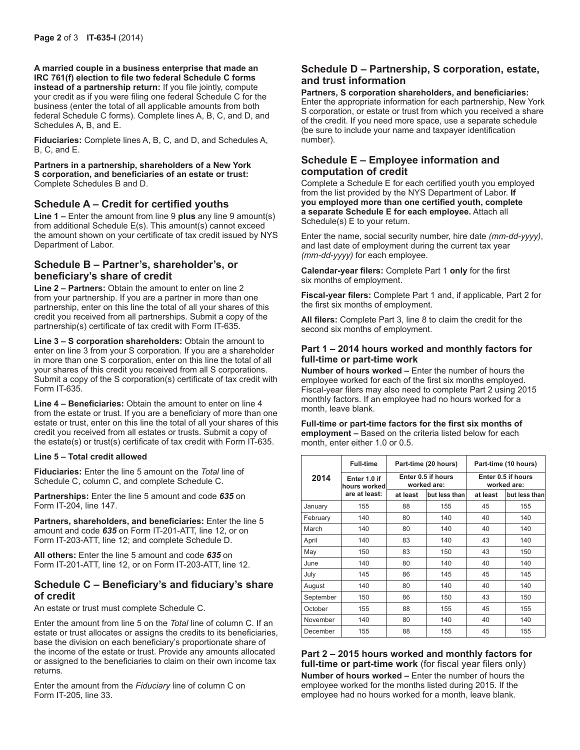**A married couple in a business enterprise that made an IRC 761(f) election to file two federal Schedule C forms instead of a partnership return:** If you file jointly, compute your credit as if you were filing one federal Schedule C for the business (enter the total of all applicable amounts from both federal Schedule C forms). Complete lines A, B, C, and D, and Schedules A, B, and E.

**Fiduciaries:** Complete lines A, B, C, and D, and Schedules A, B, C, and E.

**Partners in a partnership, shareholders of a New York S corporation, and beneficiaries of an estate or trust:**  Complete Schedules B and D.

#### **Schedule A – Credit for certified youths**

**Line 1 –** Enter the amount from line 9 **plus** any line 9 amount(s) from additional Schedule E(s). This amount(s) cannot exceed the amount shown on your certificate of tax credit issued by NYS Department of Labor.

#### **Schedule B – Partner's, shareholder's, or beneficiary's share of credit**

**Line 2 – Partners:** Obtain the amount to enter on line 2 from your partnership. If you are a partner in more than one partnership, enter on this line the total of all your shares of this credit you received from all partnerships. Submit a copy of the partnership(s) certificate of tax credit with Form IT-635.

**Line 3 – S corporation shareholders:** Obtain the amount to enter on line 3 from your S corporation. If you are a shareholder in more than one S corporation, enter on this line the total of all your shares of this credit you received from all S corporations. Submit a copy of the S corporation(s) certificate of tax credit with Form IT-635.

**Line 4 – Beneficiaries:** Obtain the amount to enter on line 4 from the estate or trust. If you are a beneficiary of more than one estate or trust, enter on this line the total of all your shares of this credit you received from all estates or trusts. Submit a copy of the estate(s) or trust(s) certificate of tax credit with Form IT-635.

#### **Line 5 – Total credit allowed**

**Fiduciaries:** Enter the line 5 amount on the *Total* line of Schedule C, column C, and complete Schedule C.

**Partnerships:** Enter the line 5 amount and code *635* on Form IT-204, line 147.

**Partners, shareholders, and beneficiaries:** Enter the line 5 amount and code *635* on Form IT-201-ATT, line 12, or on Form IT-203-ATT, line 12; and complete Schedule D.

**All others:** Enter the line 5 amount and code *635* on Form IT-201-ATT, line 12, or on Form IT-203-ATT, line 12.

#### **Schedule C – Beneficiary's and fiduciary's share of credit**

An estate or trust must complete Schedule C.

Enter the amount from line 5 on the *Total* line of column C. If an estate or trust allocates or assigns the credits to its beneficiaries, base the division on each beneficiary's proportionate share of the income of the estate or trust. Provide any amounts allocated or assigned to the beneficiaries to claim on their own income tax returns.

Enter the amount from the *Fiduciary* line of column C on Form IT-205, line 33.

## **Schedule D – Partnership, S corporation, estate, and trust information**

**Partners, S corporation shareholders, and beneficiaries:** Enter the appropriate information for each partnership, New York S corporation, or estate or trust from which you received a share of the credit. If you need more space, use a separate schedule (be sure to include your name and taxpayer identification number).

### **Schedule E – Employee information and computation of credit**

Complete a Schedule E for each certified youth you employed from the list provided by the NYS Department of Labor. **If you employed more than one certified youth, complete a separate Schedule E for each employee.** Attach all Schedule(s) E to your return.

Enter the name, social security number, hire date *(mm-dd-yyyy)*, and last date of employment during the current tax year *(mm-dd-yyyy)* for each employee.

**Calendar-year filers:** Complete Part 1 **only** for the first six months of employment.

**Fiscal-year filers:** Complete Part 1 and, if applicable, Part 2 for the first six months of employment.

**All filers:** Complete Part 3, line 8 to claim the credit for the second six months of employment.

#### **Part 1 – 2014 hours worked and monthly factors for full-time or part-time work**

**Number of hours worked –** Enter the number of hours the employee worked for each of the first six months employed. Fiscal-year filers may also need to complete Part 2 using 2015 monthly factors. If an employee had no hours worked for a month, leave blank.

**Full-time or part-time factors for the first six months of employment –** Based on the criteria listed below for each month, enter either 1.0 or 0.5.

|           | <b>Full-time</b>             | Part-time (20 hours)<br>Enter 0.5 if hours<br>worked are: |               | Part-time (10 hours)              |               |
|-----------|------------------------------|-----------------------------------------------------------|---------------|-----------------------------------|---------------|
| 2014      | Enter 1.0 if<br>hours worked |                                                           |               | Enter 0.5 if hours<br>worked are: |               |
|           | are at least:                | at least                                                  | but less than | at least                          | but less than |
| January   | 155                          | 88                                                        | 155           | 45                                | 155           |
| February  | 140                          | 80                                                        | 140           | 40                                | 140           |
| March     | 140                          | 80                                                        | 140           | 40                                | 140           |
| April     | 140                          | 83                                                        | 140           | 43                                | 140           |
| May       | 150                          | 83                                                        | 150           | 43                                | 150           |
| June      | 140                          | 80                                                        | 140           | 40                                | 140           |
| July      | 145                          | 86                                                        | 145           | 45                                | 145           |
| August    | 140                          | 80                                                        | 140           | 40                                | 140           |
| September | 150                          | 86                                                        | 150           | 43                                | 150           |
| October   | 155                          | 88                                                        | 155           | 45                                | 155           |
| November  | 140                          | 80                                                        | 140           | 40                                | 140           |
| December  | 155                          | 88                                                        | 155           | 45                                | 155           |

**Part 2 – 2015 hours worked and monthly factors for full-time or part-time work** (for fiscal year filers only) **Number of hours worked –** Enter the number of hours the employee worked for the months listed during 2015. If the employee had no hours worked for a month, leave blank.